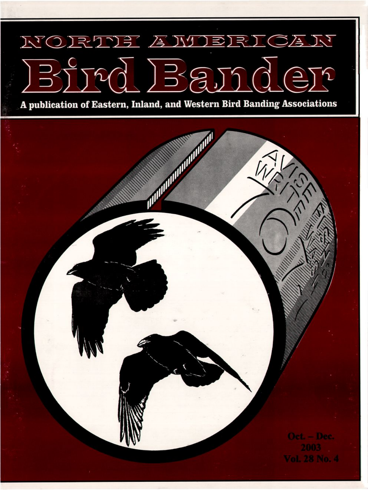## KO. OA IV 否 下  $R<sub>1</sub>$ **기**유1 ≅

**A publication of Eastern, Inland, and Western Bird Banding Associations**